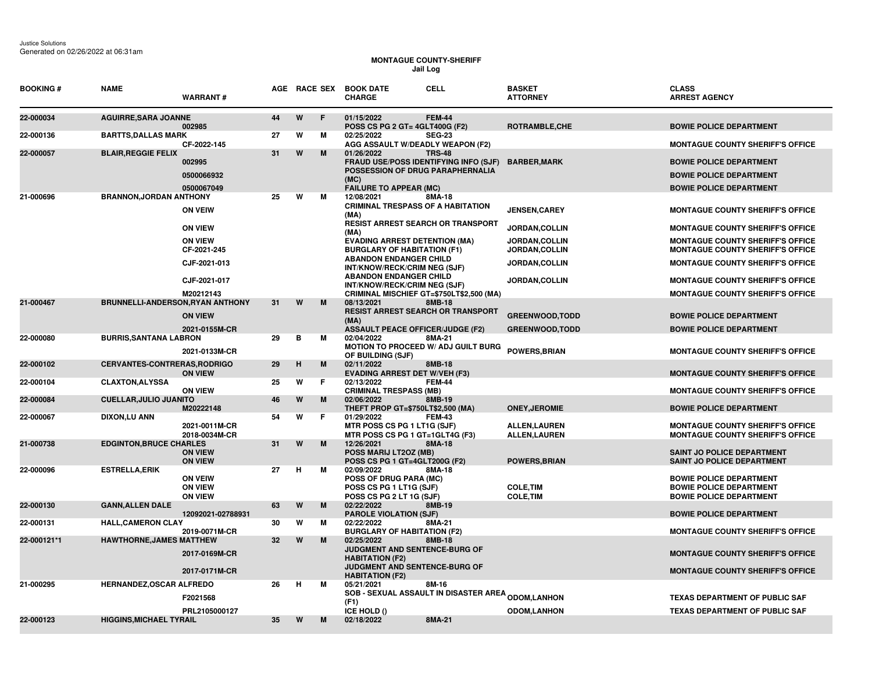## **MONTAGUE COUNTY-SHERIFF Jail Log**

| <b>BOOKING#</b> | <b>NAME</b>                             | <b>WARRANT#</b>                  |    |   | AGE RACE SEX | <b>BOOK DATE</b><br><b>CELL</b><br><b>CHARGE</b>                           |               | <b>BASKET</b><br><b>ATTORNEY</b>             | <b>CLASS</b><br><b>ARREST AGENCY</b>                                               |
|-----------------|-----------------------------------------|----------------------------------|----|---|--------------|----------------------------------------------------------------------------|---------------|----------------------------------------------|------------------------------------------------------------------------------------|
| 22-000034       | <b>AGUIRRE, SARA JOANNE</b>             | 002985                           | 44 | W | F            | 01/15/2022<br>POSS CS PG 2 GT= 4GLT400G (F2)                               | <b>FEM-44</b> | ROTRAMBLE, CHE                               | <b>BOWIE POLICE DEPARTMENT</b>                                                     |
| 22-000136       | <b>BARTTS, DALLAS MARK</b>              |                                  | 27 | W | м            | 02/25/2022                                                                 | <b>SEG-23</b> |                                              |                                                                                    |
|                 |                                         | CF-2022-145                      |    |   |              | AGG ASSAULT W/DEADLY WEAPON (F2)                                           |               |                                              | <b>MONTAGUE COUNTY SHERIFF'S OFFICE</b>                                            |
| 22-000057       | <b>BLAIR, REGGIE FELIX</b>              | 002995                           | 31 | W | M            | 01/26/2022<br><b>FRAUD USE/POSS IDENTIFYING INFO (SJF)</b>                 | <b>TRS-48</b> | <b>BARBER,MARK</b>                           | <b>BOWIE POLICE DEPARTMENT</b>                                                     |
|                 |                                         | 0500066932                       |    |   |              | POSSESSION OF DRUG PARAPHERNALIA                                           |               |                                              | <b>BOWIE POLICE DEPARTMENT</b>                                                     |
|                 |                                         | 0500067049                       |    |   |              | (MC)<br><b>FAILURE TO APPEAR (MC)</b>                                      |               |                                              | <b>BOWIE POLICE DEPARTMENT</b>                                                     |
| 21-000696       | <b>BRANNON, JORDAN ANTHONY</b>          |                                  | 25 | W | м            | 12/08/2021                                                                 | 8MA-18        |                                              |                                                                                    |
|                 |                                         | <b>ON VEIW</b>                   |    |   |              | <b>CRIMINAL TRESPASS OF A HABITATION</b><br>(MA)                           |               | <b>JENSEN,CAREY</b>                          | <b>MONTAGUE COUNTY SHERIFF'S OFFICE</b>                                            |
|                 |                                         | <b>ON VIEW</b>                   |    |   |              | <b>RESIST ARREST SEARCH OR TRANSPORT</b><br>(MA)                           |               | <b>JORDAN,COLLIN</b>                         | <b>MONTAGUE COUNTY SHERIFF'S OFFICE</b>                                            |
|                 |                                         | <b>ON VIEW</b><br>CF-2021-245    |    |   |              | <b>EVADING ARREST DETENTION (MA)</b><br><b>BURGLARY OF HABITATION (F1)</b> |               | <b>JORDAN,COLLIN</b><br><b>JORDAN,COLLIN</b> | <b>MONTAGUE COUNTY SHERIFF'S OFFICE</b><br><b>MONTAGUE COUNTY SHERIFF'S OFFICE</b> |
|                 |                                         | CJF-2021-013                     |    |   |              | <b>ABANDON ENDANGER CHILD</b><br>INT/KNOW/RECK/CRIM NEG (SJF)              |               | JORDAN, COLLIN                               | <b>MONTAGUE COUNTY SHERIFF'S OFFICE</b>                                            |
|                 |                                         | CJF-2021-017                     |    |   |              | <b>ABANDON ENDANGER CHILD</b><br>INT/KNOW/RECK/CRIM NEG (SJF)              |               | <b>JORDAN,COLLIN</b>                         | <b>MONTAGUE COUNTY SHERIFF'S OFFICE</b>                                            |
|                 |                                         | M20212143                        |    |   |              | <b>CRIMINAL MISCHIEF GT=\$750LT\$2,500 (MA)</b>                            |               |                                              | <b>MONTAGUE COUNTY SHERIFF'S OFFICE</b>                                            |
| 21-000467       | <b>BRUNNELLI-ANDERSON, RYAN ANTHONY</b> |                                  | 31 | W | M            | 08/13/2021<br><b>RESIST ARREST SEARCH OR TRANSPORT</b>                     | 8MB-18        |                                              |                                                                                    |
|                 |                                         | <b>ON VIEW</b>                   |    |   |              | (MA)                                                                       |               | <b>GREENWOOD, TODD</b>                       | <b>BOWIE POLICE DEPARTMENT</b>                                                     |
|                 |                                         | 2021-0155M-CR                    | 29 | в | м            | <b>ASSAULT PEACE OFFICER/JUDGE (F2)</b><br>02/04/2022                      |               | <b>GREENWOOD, TODD</b>                       | <b>BOWIE POLICE DEPARTMENT</b>                                                     |
| 22-000080       | <b>BURRIS, SANTANA LABRON</b>           | 2021-0133M-CR                    |    |   |              | MOTION TO PROCEED W/ ADJ GUILT BURG                                        | 8MA-21        | <b>POWERS, BRIAN</b>                         | <b>MONTAGUE COUNTY SHERIFF'S OFFICE</b>                                            |
| 22-000102       | <b>CERVANTES-CONTRERAS.RODRIGO</b>      |                                  | 29 | H | M            | OF BUILDING (SJF)<br>02/11/2022                                            | 8MB-18        |                                              |                                                                                    |
|                 |                                         | <b>ON VIEW</b>                   |    |   |              | <b>EVADING ARREST DET W/VEH (F3)</b>                                       |               |                                              | <b>MONTAGUE COUNTY SHERIFF'S OFFICE</b>                                            |
| 22-000104       | <b>CLAXTON, ALYSSA</b>                  | <b>ON VIEW</b>                   | 25 | W | F            | 02/13/2022<br><b>CRIMINAL TRESPASS (MB)</b>                                | <b>FEM-44</b> |                                              | <b>MONTAGUE COUNTY SHERIFF'S OFFICE</b>                                            |
| 22-000084       | <b>CUELLAR, JULIO JUANITO</b>           | M20222148                        | 46 | W | M            | 02/06/2022<br>THEFT PROP GT=\$750LT\$2,500 (MA)                            | 8MB-19        | <b>ONEY.JEROMIE</b>                          | <b>BOWIE POLICE DEPARTMENT</b>                                                     |
| 22-000067       | DIXON,LU ANN                            |                                  | 54 | W | F            | 01/29/2022                                                                 | <b>FEM-43</b> |                                              |                                                                                    |
|                 |                                         | 2021-0011M-CR<br>2018-0034M-CR   |    |   |              | MTR POSS CS PG 1 LT1G (SJF)<br>MTR POSS CS PG 1 GT=1GLT4G (F3)             |               | <b>ALLEN, LAUREN</b><br><b>ALLEN,LAUREN</b>  | <b>MONTAGUE COUNTY SHERIFF'S OFFICE</b><br><b>MONTAGUE COUNTY SHERIFF'S OFFICE</b> |
| 21-000738       | <b>EDGINTON, BRUCE CHARLES</b>          |                                  | 31 | W | M            | 12/26/2021                                                                 | 8MA-18        |                                              |                                                                                    |
|                 |                                         | <b>ON VIEW</b><br><b>ON VIEW</b> |    |   |              | POSS MARIJ LT2OZ (MB)<br>POSS CS PG 1 GT=4GLT200G (F2)                     |               | <b>POWERS, BRIAN</b>                         | SAINT JO POLICE DEPARTMENT<br>SAINT JO POLICE DEPARTMENT                           |
| 22-000096       | <b>ESTRELLA, ERIK</b>                   |                                  | 27 | н | М            | 02/09/2022                                                                 | 8MA-18        |                                              |                                                                                    |
|                 |                                         | <b>ON VEIW</b><br><b>ON VIEW</b> |    |   |              | <b>POSS OF DRUG PARA (MC)</b><br>POSS CS PG 1 LT1G (SJF)                   |               | <b>COLE, TIM</b>                             | <b>BOWIE POLICE DEPARTMENT</b><br><b>BOWIE POLICE DEPARTMENT</b>                   |
|                 |                                         | <b>ON VIEW</b>                   |    |   |              | POSS CS PG 2 LT 1G (SJF)                                                   |               | <b>COLE, TIM</b>                             | <b>BOWIE POLICE DEPARTMENT</b>                                                     |
| 22-000130       | <b>GANN, ALLEN DALE</b>                 | 12092021-02788931                | 63 | W | M            | 02/22/2022<br><b>PAROLE VIOLATION (SJF)</b>                                | 8MB-19        |                                              | <b>BOWIE POLICE DEPARTMENT</b>                                                     |
| 22-000131       | <b>HALL, CAMERON CLAY</b>               | 2019-0071M-CR                    | 30 | W | м            | 02/22/2022<br><b>BURGLARY OF HABITATION (F2)</b>                           | 8MA-21        |                                              | <b>MONTAGUE COUNTY SHERIFF'S OFFICE</b>                                            |
| 22-000121*1     | <b>HAWTHORNE, JAMES MATTHEW</b>         |                                  | 32 | W | M            | 02/25/2022                                                                 | 8MB-18        |                                              |                                                                                    |
|                 |                                         | 2017-0169M-CR                    |    |   |              | JUDGMENT AND SENTENCE-BURG OF<br><b>HABITATION (F2)</b>                    |               |                                              | <b>MONTAGUE COUNTY SHERIFF'S OFFICE</b>                                            |
|                 |                                         | 2017-0171M-CR                    |    |   |              | JUDGMENT AND SENTENCE-BURG OF                                              |               |                                              | <b>MONTAGUE COUNTY SHERIFF'S OFFICE</b>                                            |
| 21-000295       | HERNANDEZ, OSCAR ALFREDO                |                                  | 26 | н | м            | <b>HABITATION (F2)</b><br>05/21/2021                                       | 8M-16         |                                              |                                                                                    |
|                 |                                         | F2021568                         |    |   |              | <b>SOB - SEXUAL ASSAULT IN DISASTER AREA <sub>ODOM,</sub>LANHON</b>        |               |                                              | <b>TEXAS DEPARTMENT OF PUBLIC SAF</b>                                              |
|                 |                                         | PRL2105000127                    |    |   |              | (F1)<br>ICE HOLD ()                                                        |               | <b>ODOM,LANHON</b>                           | <b>TEXAS DEPARTMENT OF PUBLIC SAF</b>                                              |
| 22-000123       | <b>HIGGINS, MICHAEL TYRAIL</b>          |                                  | 35 | W | M            | 02/18/2022                                                                 | 8MA-21        |                                              |                                                                                    |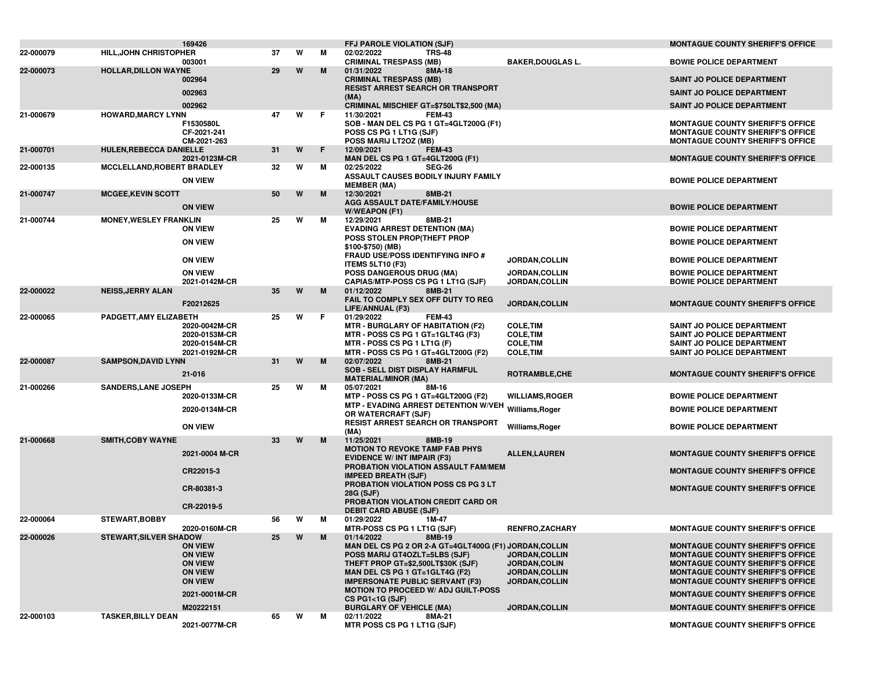|           |                                   | 169426                                          |    |   |   | <b>FFJ PAROLE VIOLATION (SJF)</b>                                                                                                           |                                                          | <b>MONTAGUE COUNTY SHERIFF'S OFFICE</b>                                                                                       |
|-----------|-----------------------------------|-------------------------------------------------|----|---|---|---------------------------------------------------------------------------------------------------------------------------------------------|----------------------------------------------------------|-------------------------------------------------------------------------------------------------------------------------------|
| 22-000079 | <b>HILL, JOHN CHRISTOPHER</b>     | 003001                                          | 37 | W | м | 02/02/2022<br><b>TRS-48</b><br><b>CRIMINAL TRESPASS (MB)</b>                                                                                | <b>BAKER, DOUGLAS L.</b>                                 | <b>BOWIE POLICE DEPARTMENT</b>                                                                                                |
| 22-000073 | <b>HOLLAR, DILLON WAYNE</b>       |                                                 | 29 | W | M | 01/31/2022<br>8MA-18                                                                                                                        |                                                          |                                                                                                                               |
|           |                                   | 002964                                          |    |   |   | <b>CRIMINAL TRESPASS (MB)</b><br><b>RESIST ARREST SEARCH OR TRANSPORT</b>                                                                   |                                                          | <b>SAINT JO POLICE DEPARTMENT</b>                                                                                             |
|           |                                   | 002963                                          |    |   |   | (MA)                                                                                                                                        |                                                          | <b>SAINT JO POLICE DEPARTMENT</b>                                                                                             |
|           |                                   | 002962                                          |    |   |   | CRIMINAL MISCHIEF GT=\$750LT\$2,500 (MA)                                                                                                    |                                                          | <b>SAINT JO POLICE DEPARTMENT</b>                                                                                             |
| 21-000679 | <b>HOWARD, MARCY LYNN</b>         | F1530580L<br>CF-2021-241<br>CM-2021-263         | 47 | W | F | 11/30/2021<br><b>FEM-43</b><br>SOB - MAN DEL CS PG 1 GT=4GLT200G (F1)<br>POSS CS PG 1 LT1G (SJF)<br>POSS MARIJ LT2OZ (MB)                   |                                                          | <b>MONTAGUE COUNTY SHERIFF'S OFFICE</b><br><b>MONTAGUE COUNTY SHERIFF'S OFFICE</b><br><b>MONTAGUE COUNTY SHERIFF'S OFFICE</b> |
| 21-000701 | <b>HULEN, REBECCA DANIELLE</b>    | 2021-0123M-CR                                   | 31 | W | F | 12/09/2021<br><b>FEM-43</b><br>MAN DEL CS PG 1 GT=4GLT200G (F1)                                                                             |                                                          | <b>MONTAGUE COUNTY SHERIFF'S OFFICE</b>                                                                                       |
| 22-000135 | <b>MCCLELLAND, ROBERT BRADLEY</b> |                                                 | 32 | w | м | 02/25/2022<br><b>SEG-26</b><br>ASSAULT CAUSES BODILY INJURY FAMILY                                                                          |                                                          |                                                                                                                               |
|           |                                   | <b>ON VIEW</b>                                  |    |   |   | <b>MEMBER (MA)</b>                                                                                                                          |                                                          | <b>BOWIE POLICE DEPARTMENT</b>                                                                                                |
| 21-000747 | <b>MCGEE, KEVIN SCOTT</b>         | <b>ON VIEW</b>                                  | 50 | W | M | 12/30/2021<br>8MB-21<br>AGG ASSAULT DATE/FAMILY/HOUSE                                                                                       |                                                          | <b>BOWIE POLICE DEPARTMENT</b>                                                                                                |
| 21-000744 | <b>MONEY, WESLEY FRANKLIN</b>     |                                                 | 25 | w | М | W/WEAPON (F1)<br>12/29/2021<br>8MB-21                                                                                                       |                                                          |                                                                                                                               |
|           |                                   | <b>ON VIEW</b>                                  |    |   |   | <b>EVADING ARREST DETENTION (MA)</b><br>POSS STOLEN PROP(THEFT PROP                                                                         |                                                          | <b>BOWIE POLICE DEPARTMENT</b>                                                                                                |
|           |                                   | <b>ON VIEW</b>                                  |    |   |   | \$100-\$750) (MB)<br><b>FRAUD USE/POSS IDENTIFYING INFO #</b>                                                                               |                                                          | <b>BOWIE POLICE DEPARTMENT</b>                                                                                                |
|           |                                   | <b>ON VIEW</b>                                  |    |   |   | <b>ITEMS 5LT10 (F3)</b>                                                                                                                     | JORDAN, COLLIN                                           | <b>BOWIE POLICE DEPARTMENT</b>                                                                                                |
|           |                                   | <b>ON VIEW</b>                                  |    |   |   | POSS DANGEROUS DRUG (MA)                                                                                                                    | JORDAN, COLLIN                                           | <b>BOWIE POLICE DEPARTMENT</b>                                                                                                |
| 22-000022 |                                   | 2021-0142M-CR                                   | 35 | W | M | CAPIAS/MTP-POSS CS PG 1 LT1G (SJF)<br>01/12/2022<br>8MB-21                                                                                  | JORDAN, COLLIN                                           | <b>BOWIE POLICE DEPARTMENT</b>                                                                                                |
|           | <b>NEISS, JERRY ALAN</b>          |                                                 |    |   |   | FAIL TO COMPLY SEX OFF DUTY TO REG                                                                                                          |                                                          |                                                                                                                               |
|           |                                   | F20212625                                       |    |   |   | LIFE/ANNUAL (F3)                                                                                                                            | JORDAN, COLLIN                                           | <b>MONTAGUE COUNTY SHERIFF'S OFFICE</b>                                                                                       |
| 22-000065 | PADGETT, AMY ELIZABETH            | 2020-0042M-CR<br>2020-0153M-CR<br>2020-0154M-CR | 25 | W | F | 01/29/2022<br><b>FEM-43</b><br><b>MTR - BURGLARY OF HABITATION (F2)</b><br>MTR - POSS CS PG 1 GT=1GLT4G (F3)<br>MTR - POSS CS PG 1 LT1G (F) | <b>COLE, TIM</b><br><b>COLE, TIM</b><br><b>COLE, TIM</b> | SAINT JO POLICE DEPARTMENT<br><b>SAINT JO POLICE DEPARTMENT</b><br>SAINT JO POLICE DEPARTMENT                                 |
| 22-000087 | <b>SAMPSON, DAVID LYNN</b>        | 2021-0192M-CR                                   | 31 | W | M | MTR - POSS CS PG 1 GT=4GLT200G (F2)<br>02/07/2022<br>8MB-21                                                                                 | <b>COLE, TIM</b>                                         | SAINT JO POLICE DEPARTMENT                                                                                                    |
|           |                                   | 21-016                                          |    |   |   | <b>SOB - SELL DIST DISPLAY HARMFUL</b><br><b>MATERIAL/MINOR (MA)</b>                                                                        | ROTRAMBLE, CHE                                           | <b>MONTAGUE COUNTY SHERIFF'S OFFICE</b>                                                                                       |
| 21-000266 | <b>SANDERS, LANE JOSEPH</b>       |                                                 | 25 | W | М | 05/07/2021<br>8M-16                                                                                                                         |                                                          |                                                                                                                               |
|           |                                   | 2020-0133M-CR                                   |    |   |   | MTP - POSS CS PG 1 GT=4GLT200G (F2)                                                                                                         | <b>WILLIAMS, ROGER</b>                                   | <b>BOWIE POLICE DEPARTMENT</b>                                                                                                |
|           |                                   | 2020-0134M-CR                                   |    |   |   | MTP - EVADING ARREST DETENTION W/VEH Williams, Roger<br>OR WATERCRAFT (SJF)                                                                 |                                                          | <b>BOWIE POLICE DEPARTMENT</b>                                                                                                |
|           |                                   | <b>ON VIEW</b>                                  |    |   |   | <b>RESIST ARREST SEARCH OR TRANSPORT</b><br>(MA)                                                                                            | Williams, Roger                                          | <b>BOWIE POLICE DEPARTMENT</b>                                                                                                |
| 21-000668 | <b>SMITH, COBY WAYNE</b>          |                                                 | 33 | W | M | 11/25/2021<br>8MB-19                                                                                                                        |                                                          |                                                                                                                               |
|           |                                   | 2021-0004 M-CR                                  |    |   |   | <b>MOTION TO REVOKE TAMP FAB PHYS</b><br><b>EVIDENCE W/ INT IMPAIR (F3)</b>                                                                 | <b>ALLEN, LAUREN</b>                                     | <b>MONTAGUE COUNTY SHERIFF'S OFFICE</b>                                                                                       |
|           |                                   | CR22015-3                                       |    |   |   | PROBATION VIOLATION ASSAULT FAM/MEM<br><b>IMPEED BREATH (SJF)</b>                                                                           |                                                          | <b>MONTAGUE COUNTY SHERIFF'S OFFICE</b>                                                                                       |
|           |                                   | CR-80381-3                                      |    |   |   | PROBATION VIOLATION POSS CS PG 3 LT<br>28G (SJF)                                                                                            |                                                          | <b>MONTAGUE COUNTY SHERIFF'S OFFICE</b>                                                                                       |
|           |                                   | CR-22019-5                                      |    |   |   | PROBATION VIOLATION CREDIT CARD OR<br><b>DEBIT CARD ABUSE (SJF)</b>                                                                         |                                                          |                                                                                                                               |
| 22-000064 | <b>STEWART, BOBBY</b>             |                                                 | 56 | W | м | 01/29/2022<br>1M-47                                                                                                                         |                                                          |                                                                                                                               |
|           |                                   | 2020-0160M-CR                                   |    |   |   | MTR-POSS CS PG 1 LT1G (SJF)                                                                                                                 | <b>RENFRO,ZACHARY</b>                                    | <b>MONTAGUE COUNTY SHERIFF'S OFFICE</b>                                                                                       |
| 22-000026 | <b>STEWART, SILVER SHADOW</b>     | <b>ON VIEW</b>                                  | 25 | W | M | 01/14/2022<br>8MB-19<br>MAN DEL CS PG 2 OR 2-A GT=4GLT400G (F1) JORDAN, COLLIN                                                              |                                                          | <b>MONTAGUE COUNTY SHERIFF'S OFFICE</b>                                                                                       |
|           |                                   | <b>ON VIEW</b>                                  |    |   |   | POSS MARIJ GT4OZLT=5LBS (SJF)                                                                                                               | <b>JORDAN, COLLIN</b>                                    | <b>MONTAGUE COUNTY SHERIFF'S OFFICE</b>                                                                                       |
|           |                                   | <b>ON VIEW</b>                                  |    |   |   | THEFT PROP GT=\$2,500LT\$30K (SJF)                                                                                                          | JORDAN, COLIN                                            | <b>MONTAGUE COUNTY SHERIFF'S OFFICE</b>                                                                                       |
|           |                                   | <b>ON VIEW</b><br><b>ON VIEW</b>                |    |   |   | MAN DEL CS PG 1 GT=1GLT4G (F2)<br><b>IMPERSONATE PUBLIC SERVANT (F3)</b>                                                                    | <b>JORDAN,COLLIN</b><br>JORDAN, COLLIN                   | <b>MONTAGUE COUNTY SHERIFF'S OFFICE</b><br><b>MONTAGUE COUNTY SHERIFF'S OFFICE</b>                                            |
|           |                                   | 2021-0001M-CR                                   |    |   |   | <b>MOTION TO PROCEED W/ ADJ GUILT-POSS</b>                                                                                                  |                                                          | <b>MONTAGUE COUNTY SHERIFF'S OFFICE</b>                                                                                       |
|           |                                   |                                                 |    |   |   | $CS$ PG1<1G (SJF)                                                                                                                           |                                                          |                                                                                                                               |
| 22-000103 | <b>TASKER, BILLY DEAN</b>         | M20222151                                       | 65 | W | м | <b>BURGLARY OF VEHICLE (MA)</b><br>02/11/2022<br>8MA-21                                                                                     | <b>JORDAN, COLLIN</b>                                    | <b>MONTAGUE COUNTY SHERIFF'S OFFICE</b>                                                                                       |
|           |                                   | 2021-0077M-CR                                   |    |   |   | MTR POSS CS PG 1 LT1G (SJF)                                                                                                                 |                                                          | <b>MONTAGUE COUNTY SHERIFF'S OFFICE</b>                                                                                       |